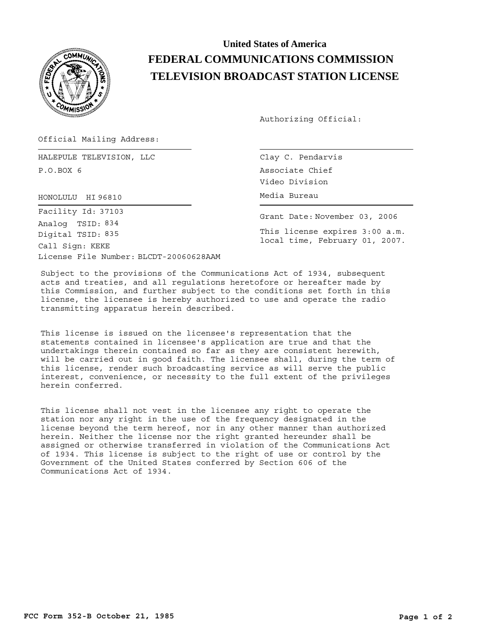

## **United States of America FEDERAL COMMUNICATIONS COMMISSION TELEVISION BROADCAST STATION LICENSE**

Authorizing Official:

Official Mailing Address:

HALEPULE TELEVISION, LLC P.O.BOX 6

HONOLULU Media Bureau HI 96810

License File Number: BLCDT-20060628AAM Call Sign: KEKE Facility Id: 37103 Digital TSID: 835 Analog TSID: 834

Clay C. Pendarvis Associate Chief Video Division

Grant Date: November 03, 2006 This license expires 3:00 a.m. local time, February 01, 2007.

Subject to the provisions of the Communications Act of 1934, subsequent acts and treaties, and all regulations heretofore or hereafter made by this Commission, and further subject to the conditions set forth in this license, the licensee is hereby authorized to use and operate the radio transmitting apparatus herein described.

This license is issued on the licensee's representation that the statements contained in licensee's application are true and that the undertakings therein contained so far as they are consistent herewith, will be carried out in good faith. The licensee shall, during the term of this license, render such broadcasting service as will serve the public interest, convenience, or necessity to the full extent of the privileges herein conferred.

This license shall not vest in the licensee any right to operate the station nor any right in the use of the frequency designated in the license beyond the term hereof, nor in any other manner than authorized herein. Neither the license nor the right granted hereunder shall be assigned or otherwise transferred in violation of the Communications Act of 1934. This license is subject to the right of use or control by the Government of the United States conferred by Section 606 of the Communications Act of 1934.